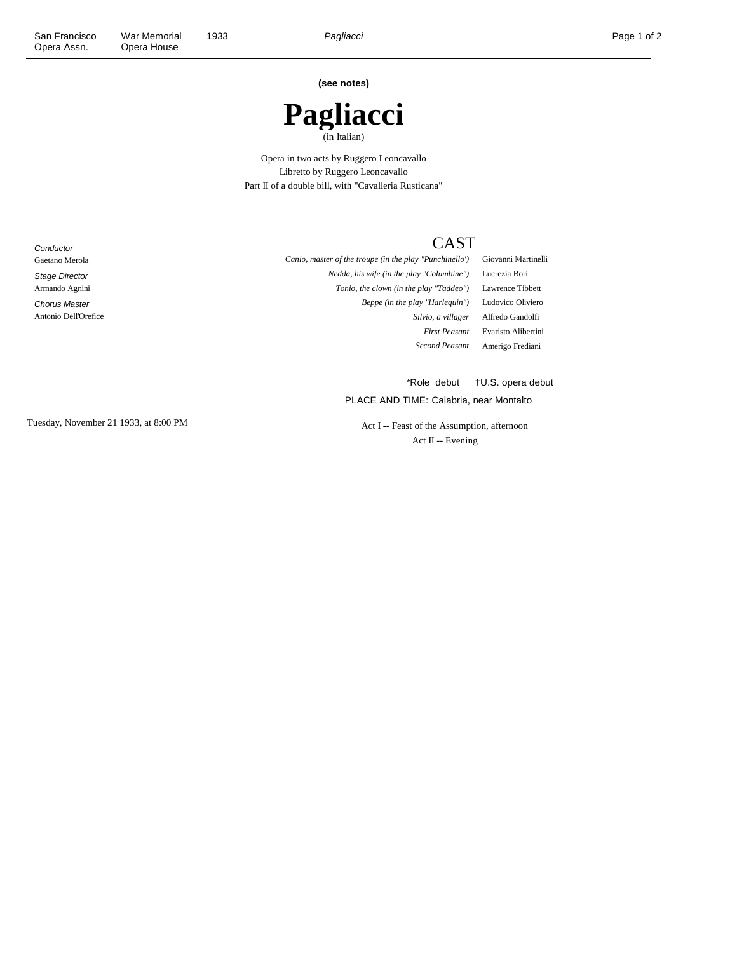**(see notes)**



Opera in two acts by Ruggero Leoncavallo Libretto by Ruggero Leoncavallo Part II of a double bill, with "Cavalleria Rusticana"

## CAST

*Canio, master of the troupe (in the play "Punchinello')* Giovanni Martinelli *Nedda, his wife (in the play "Columbine")* Lucrezia Bori *Tonio, the clown (in the play "Taddeo")* Lawrence Tibbett *Beppe (in the play "Harlequin")* Ludovico Oliviero *Silvio, a villager* Alfredo Gandolfi *First Peasant* Evaristo Alibertini *Second Peasant* Amerigo Frediani

PLACE AND TIME: Calabria, near Montalto \*Role debut †U.S. opera debut

Tuesday, November 21 1933, at 8:00 PM Act I -- Feast of the Assumption, afternoon Act II -- Evening

**Conductor** Gaetano Merola Stage Director Armando Agnini Chorus Master Antonio Dell'Orefice